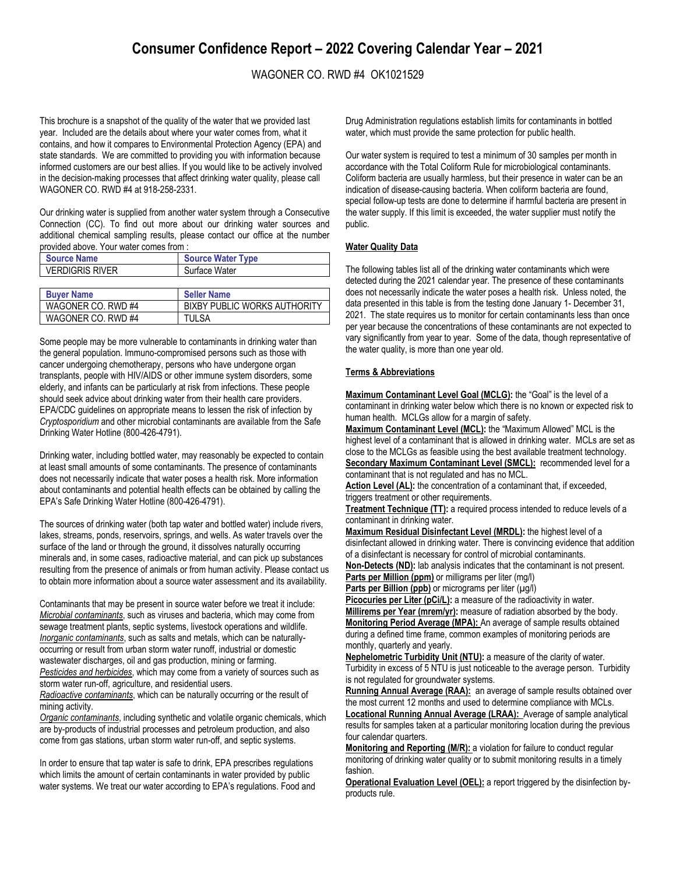# **Consumer Confidence Report – 2022 Covering Calendar Year – 2021**

# WAGONER CO. RWD #4 OK1021529

This brochure is a snapshot of the quality of the water that we provided last year. Included are the details about where your water comes from, what it contains, and how it compares to Environmental Protection Agency (EPA) and state standards. We are committed to providing you with information because informed customers are our best allies. If you would like to be actively involved in the decision-making processes that affect drinking water quality, please call WAGONER CO. RWD #4 at 918-258-2331.

Our drinking water is supplied from another water system through a Consecutive Connection (CC). To find out more about our drinking water sources and additional chemical sampling results, please contact our office at the number provided above. Your water comes from :

| <b>Source Name</b>     | <b>Source Water Type</b> |
|------------------------|--------------------------|
| <b>VERDIGRIS RIVER</b> | Surface Water            |
|                        |                          |
| <b>Ruver Name</b>      | Sallar Nama              |

| <b>Buver Name</b>  | <b>Seller Name</b>           |
|--------------------|------------------------------|
| WAGONER CO. RWD #4 | BIXBY PUBLIC WORKS AUTHORITY |
| WAGONER CO. RWD #4 | <b>TULSA</b>                 |

Some people may be more vulnerable to contaminants in drinking water than the general population. Immuno-compromised persons such as those with cancer undergoing chemotherapy, persons who have undergone organ transplants, people with HIV/AIDS or other immune system disorders, some elderly, and infants can be particularly at risk from infections. These people should seek advice about drinking water from their health care providers. EPA/CDC guidelines on appropriate means to lessen the risk of infection by *Cryptosporidium* and other microbial contaminants are available from the Safe Drinking Water Hotline (800-426-4791).

Drinking water, including bottled water, may reasonably be expected to contain at least small amounts of some contaminants. The presence of contaminants does not necessarily indicate that water poses a health risk. More information about contaminants and potential health effects can be obtained by calling the EPA's Safe Drinking Water Hotline (800-426-4791).

The sources of drinking water (both tap water and bottled water) include rivers, lakes, streams, ponds, reservoirs, springs, and wells. As water travels over the surface of the land or through the ground, it dissolves naturally occurring minerals and, in some cases, radioactive material, and can pick up substances resulting from the presence of animals or from human activity. Please contact us to obtain more information about a source water assessment and its availability.

Contaminants that may be present in source water before we treat it include: *Microbial contaminants*, such as viruses and bacteria, which may come from sewage treatment plants, septic systems, livestock operations and wildlife. *Inorganic contaminants*, such as salts and metals, which can be naturallyoccurring or result from urban storm water runoff, industrial or domestic wastewater discharges, oil and gas production, mining or farming. *Pesticides and herbicides*, which may come from a variety of sources such as storm water run-off, agriculture, and residential users.

*Radioactive contaminants*, which can be naturally occurring or the result of mining activity.

*Organic contaminants*, including synthetic and volatile organic chemicals, which are by-products of industrial processes and petroleum production, and also come from gas stations, urban storm water run-off, and septic systems.

In order to ensure that tap water is safe to drink, EPA prescribes regulations which limits the amount of certain contaminants in water provided by public water systems. We treat our water according to EPA's regulations. Food and Drug Administration regulations establish limits for contaminants in bottled water, which must provide the same protection for public health.

Our water system is required to test a minimum of 30 samples per month in accordance with the Total Coliform Rule for microbiological contaminants. Coliform bacteria are usually harmless, but their presence in water can be an indication of disease-causing bacteria. When coliform bacteria are found, special follow-up tests are done to determine if harmful bacteria are present in the water supply. If this limit is exceeded, the water supplier must notify the public.

## **Water Quality Data**

The following tables list all of the drinking water contaminants which were detected during the 2021 calendar year. The presence of these contaminants does not necessarily indicate the water poses a health risk. Unless noted, the data presented in this table is from the testing done January 1- December 31, 2021. The state requires us to monitor for certain contaminants less than once per year because the concentrations of these contaminants are not expected to vary significantly from year to year. Some of the data, though representative of the water quality, is more than one year old.

#### **Terms & Abbreviations**

**Maximum Contaminant Level Goal (MCLG):** the "Goal" is the level of a contaminant in drinking water below which there is no known or expected risk to human health. MCLGs allow for a margin of safety.

**Maximum Contaminant Level (MCL):** the "Maximum Allowed" MCL is the highest level of a contaminant that is allowed in drinking water. MCLs are set as close to the MCLGs as feasible using the best available treatment technology. **Secondary Maximum Contaminant Level (SMCL):** recommended level for a contaminant that is not regulated and has no MCL.

Action Level (AL): the concentration of a contaminant that, if exceeded, triggers treatment or other requirements.

**Treatment Technique (TT):** a required process intended to reduce levels of a contaminant in drinking water.

**Maximum Residual Disinfectant Level (MRDL):** the highest level of a disinfectant allowed in drinking water. There is convincing evidence that addition of a disinfectant is necessary for control of microbial contaminants.

**Non-Detects (ND):** lab analysis indicates that the contaminant is not present. **Parts per Million (ppm)** or milligrams per liter (mg/l)

Parts per Billion (ppb) or micrograms per liter (µg/l)

Picocuries per Liter (pCi/L): a measure of the radioactivity in water. **Millirems per Year (mrem/yr):** measure of radiation absorbed by the body. **Monitoring Period Average (MPA):** An average of sample results obtained during a defined time frame, common examples of monitoring periods are monthly, quarterly and yearly.

**Nephelometric Turbidity Unit (NTU):** a measure of the clarity of water. Turbidity in excess of 5 NTU is just noticeable to the average person. Turbidity is not regulated for groundwater systems.

Running Annual Average (RAA): an average of sample results obtained over the most current 12 months and used to determine compliance with MCLs.

**Locational Running Annual Average (LRAA):** Average of sample analytical results for samples taken at a particular monitoring location during the previous four calendar quarters.

**Monitoring and Reporting (M/R):** a violation for failure to conduct regular monitoring of drinking water quality or to submit monitoring results in a timely fashion.

**Operational Evaluation Level (OEL):** a report triggered by the disinfection byproducts rule.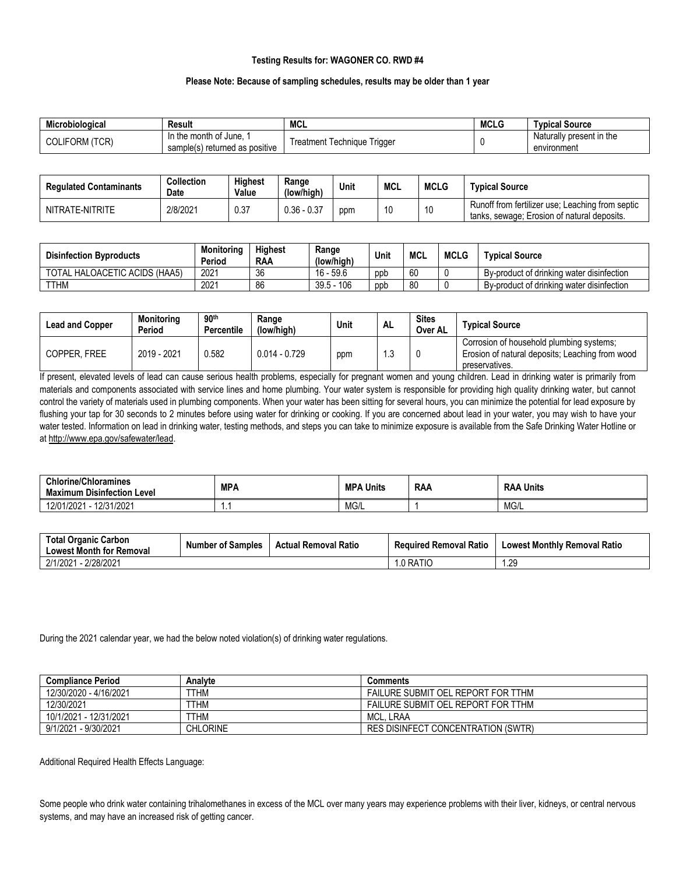## **Testing Results for: WAGONER CO. RWD #4**

#### **Please Note: Because of sampling schedules, results may be older than 1 year**

| Microbiological                | Result                                                           | <b>MCL</b>                                | <b>MCLG</b> | Tvpical Source                          |
|--------------------------------|------------------------------------------------------------------|-------------------------------------------|-------------|-----------------------------------------|
| IFORM (TCR)<br>$\sim$<br>JULIF | In the month of June.<br><br>) returned as positive<br>sample(s) | l riaaei<br>I echnique<br>⊺reatment<br>ັບ |             | Naturally present in the<br>environment |

| <b>Regulated Contaminants</b> | Collection<br><b>Date</b> | <b>Highest</b><br>Value | Range<br>(low/high) | Unit | <b>MCL</b> | <b>MCLG</b> | <b>Tvpical Source</b>                                                                           |
|-------------------------------|---------------------------|-------------------------|---------------------|------|------------|-------------|-------------------------------------------------------------------------------------------------|
| NITRATE-NITRITE               | 2/8/2021                  | 0.37                    | $0.36 - 0.37$       | ppm  | 10         | 10          | Runoff from fertilizer use: Leaching from septic<br>tanks, sewage; Erosion of natural deposits. |

| <b>Disinfection Byproducts</b> | Monitorina<br>Period | <b>Highest</b><br><b>RAA</b> | Range<br>(low/high) | Unit | <b>MCL</b> | <b>MCLG</b> | <b>Typical Source</b>                     |
|--------------------------------|----------------------|------------------------------|---------------------|------|------------|-------------|-------------------------------------------|
| TOTAL HALOACETIC ACIDS (HAA5)  | 2021                 | 36                           | $16 - 59.6$         | ppt  | 60         |             | By-product of drinking water disinfection |
| <b>TTHM</b>                    | 2021                 | 86                           | $39.5 - 106$        | ppb  | 80         |             | By-product of drinking water disinfection |

| <b>Lead and Copper</b> | Monitorina<br>Period | 90 <sup>th</sup><br><b>Percentile</b> | Range<br>(low/high) | Unit | <b>AL</b> | <b>Sites</b><br>Over AL | Tvpical Source                                                                                                |
|------------------------|----------------------|---------------------------------------|---------------------|------|-----------|-------------------------|---------------------------------------------------------------------------------------------------------------|
| COPPER. FREE           | 2019 - 2021          | 3.582                                 | $0.014 - 0.729$     | ppm  | ں. ا      |                         | Corrosion of household plumbing systems;<br>Erosion of natural deposits; Leaching from wood<br>preservatives. |

If present, elevated levels of lead can cause serious health problems, especially for pregnant women and young children. Lead in drinking water is primarily from materials and components associated with service lines and home plumbing. Your water system is responsible for providing high quality drinking water, but cannot control the variety of materials used in plumbing components. When your water has been sitting for several hours, you can minimize the potential for lead exposure by flushing your tap for 30 seconds to 2 minutes before using water for drinking or cooking. If you are concerned about lead in your water, you may wish to have your water tested. Information on lead in drinking water, testing methods, and steps you can take to minimize exposure is available from the Safe Drinking Water Hotline or a[t http://www.epa.gov/safewater/lead.](http://www.epa.gov/safewater/lead)

| <b>Chlorine/Chloramines</b><br><br>ı Level<br><b>Maximum Disinfection</b> | <b>MPA</b> | <b>MPA</b><br>. Units | <b>RAA</b> | Units<br><b>RAA</b> |
|---------------------------------------------------------------------------|------------|-----------------------|------------|---------------------|
| 12/31/2021<br>01.10001<br>1010<br>12/0<br>7ZUZ.                           |            | MG/L                  |            | MG/L                |

| <b>Total Organic Carbon</b><br><b>Lowest Month for Removal</b> | <b>Number of Samples</b> | <b>Actual Removal Ratio</b> | <b>Required Removal Ratio</b> | <b>Lowest Monthly Removal Ratio</b> |
|----------------------------------------------------------------|--------------------------|-----------------------------|-------------------------------|-------------------------------------|
| $-2/28/2021$<br>2/1/2021                                       |                          |                             | .0 RATIC                      | .29                                 |

During the 2021 calendar year, we had the below noted violation(s) of drinking water regulations.

| <b>Compliance Period</b> | Analyte         | Comments                                  |
|--------------------------|-----------------|-------------------------------------------|
| 12/30/2020 - 4/16/2021   | TTHM            | FAILURE SUBMIT OEL REPORT FOR TTHM        |
| 12/30/2021               | TTHM            | FAILURE SUBMIT OEL REPORT FOR TTHM        |
| 10/1/2021 - 12/31/2021   | THM             | MCL.<br>. LRAA                            |
| 9/1/2021 - 9/30/2021     | <b>CHLORINE</b> | <b>RES DISINFECT CONCENTRATION (SWTR)</b> |

Additional Required Health Effects Language:

Some people who drink water containing trihalomethanes in excess of the MCL over many years may experience problems with their liver, kidneys, or central nervous systems, and may have an increased risk of getting cancer.